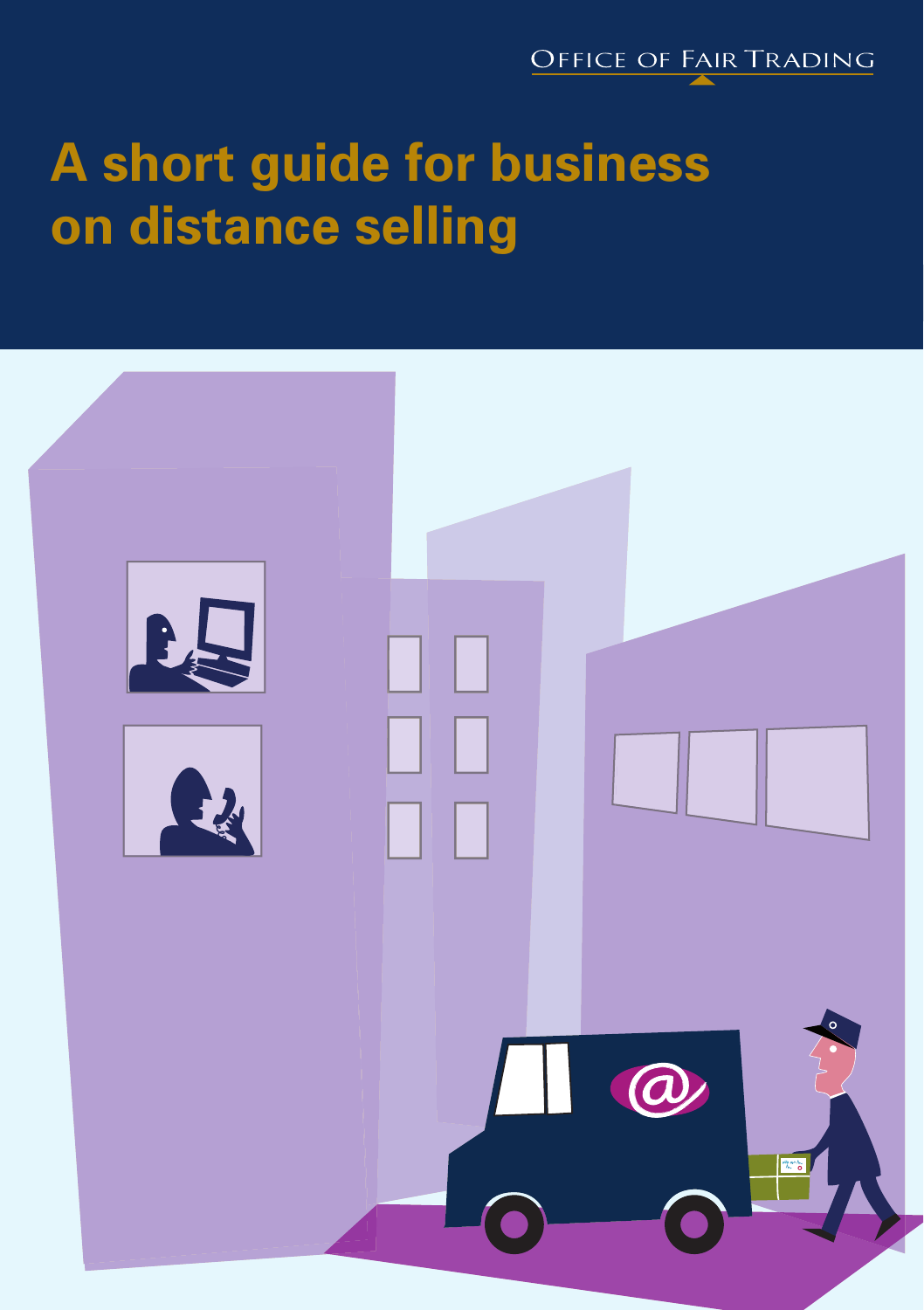

# **A short guide for business on distance selling**

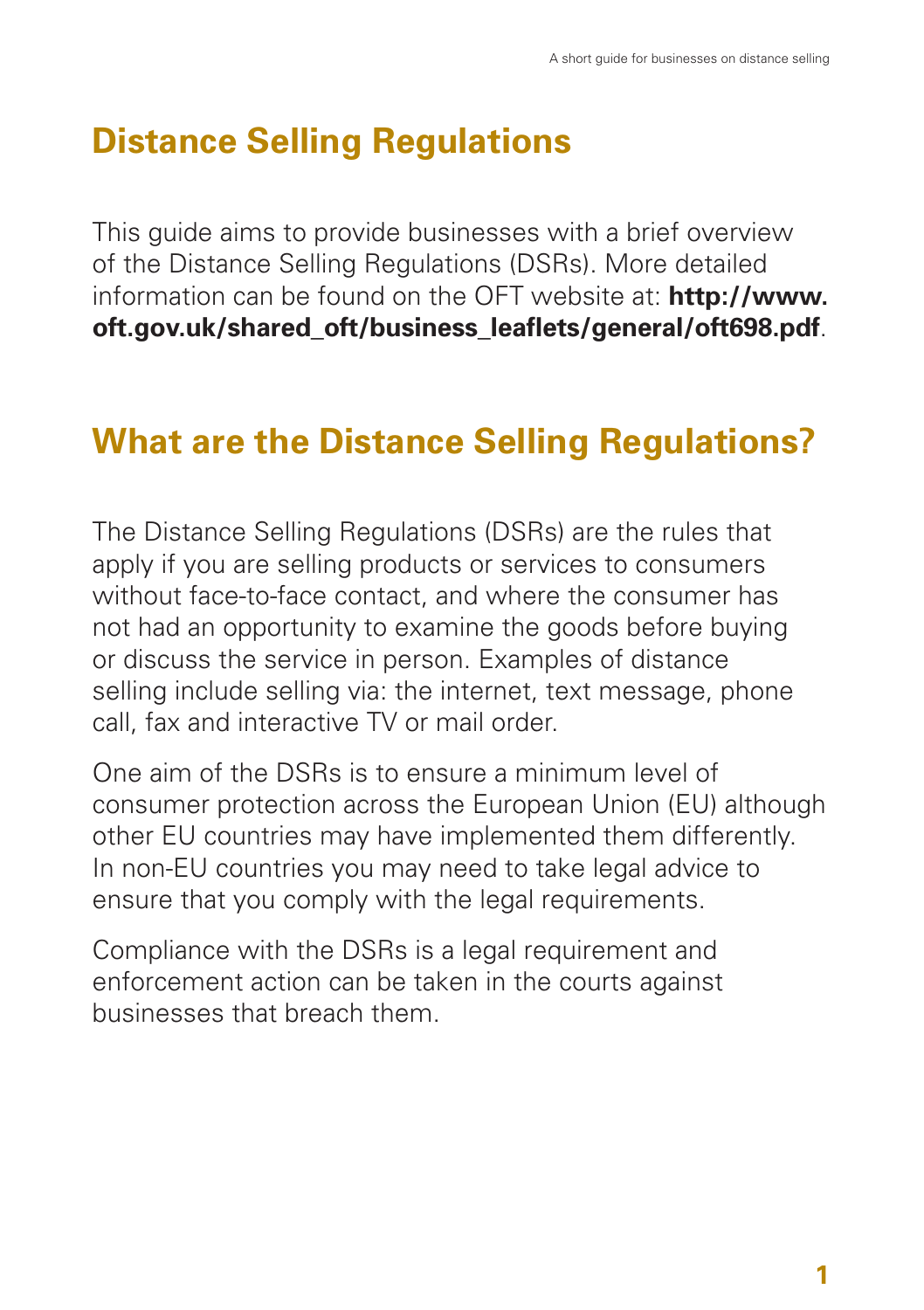## **Distance Selling Regulations**

This guide aims to provide businesses with a brief overview of the Distance Selling Regulations (DSRs). More detailed information can be found on the OFT website at: **http://www. oft.gov.uk/shared\_oft/business\_leaflets/general/oft698.pdf**.

## **What are the Distance Selling Regulations?**

The Distance Selling Regulations (DSRs) are the rules that apply if you are selling products or services to consumers without face-to-face contact, and where the consumer has not had an opportunity to examine the goods before buying or discuss the service in person. Examples of distance selling include selling via: the internet, text message, phone call, fax and interactive TV or mail order.

One aim of the DSRs is to ensure a minimum level of consumer protection across the European Union (EU) although other EU countries may have implemented them differently. In non-EU countries you may need to take legal advice to ensure that you comply with the legal requirements.

Compliance with the DSRs is a legal requirement and enforcement action can be taken in the courts against businesses that breach them.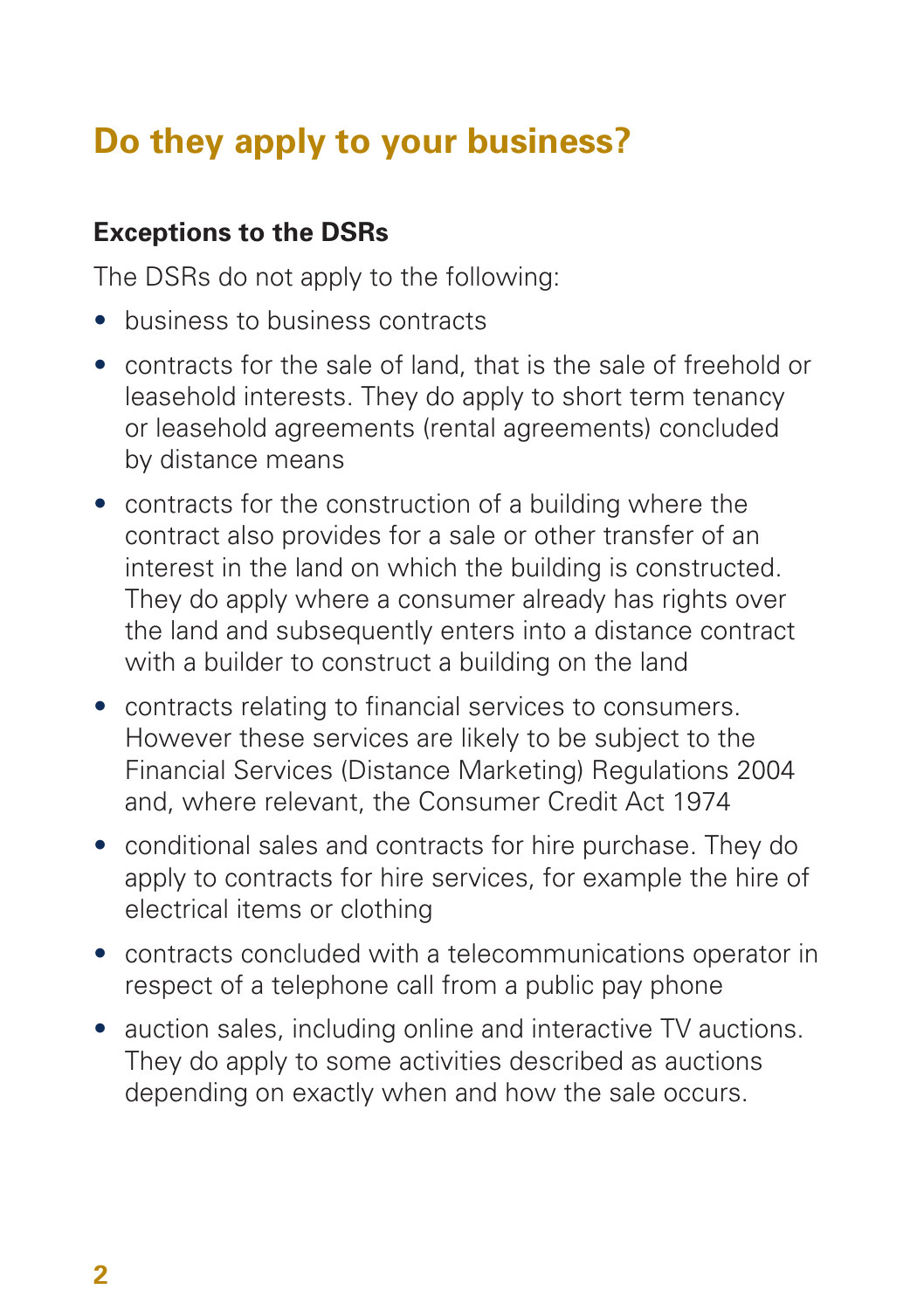## **Do they apply to your business?**

## **Exceptions to the DSRs**

The DSRs do not apply to the following:

- business to business contracts
- contracts for the sale of land, that is the sale of freehold or leasehold interests. They do apply to short term tenancy or leasehold agreements (rental agreements) concluded by distance means
- contracts for the construction of a building where the contract also provides for a sale or other transfer of an interest in the land on which the building is constructed. They do apply where a consumer already has rights over the land and subsequently enters into a distance contract with a builder to construct a building on the land
- contracts relating to financial services to consumers. However these services are likely to be subject to the Financial Services (Distance Marketing) Regulations 2004 and, where relevant, the Consumer Credit Act 1974
- conditional sales and contracts for hire purchase. They do apply to contracts for hire services, for example the hire of electrical items or clothing
- contracts concluded with a telecommunications operator in respect of a telephone call from a public pay phone
- auction sales, including online and interactive TV auctions. They do apply to some activities described as auctions depending on exactly when and how the sale occurs.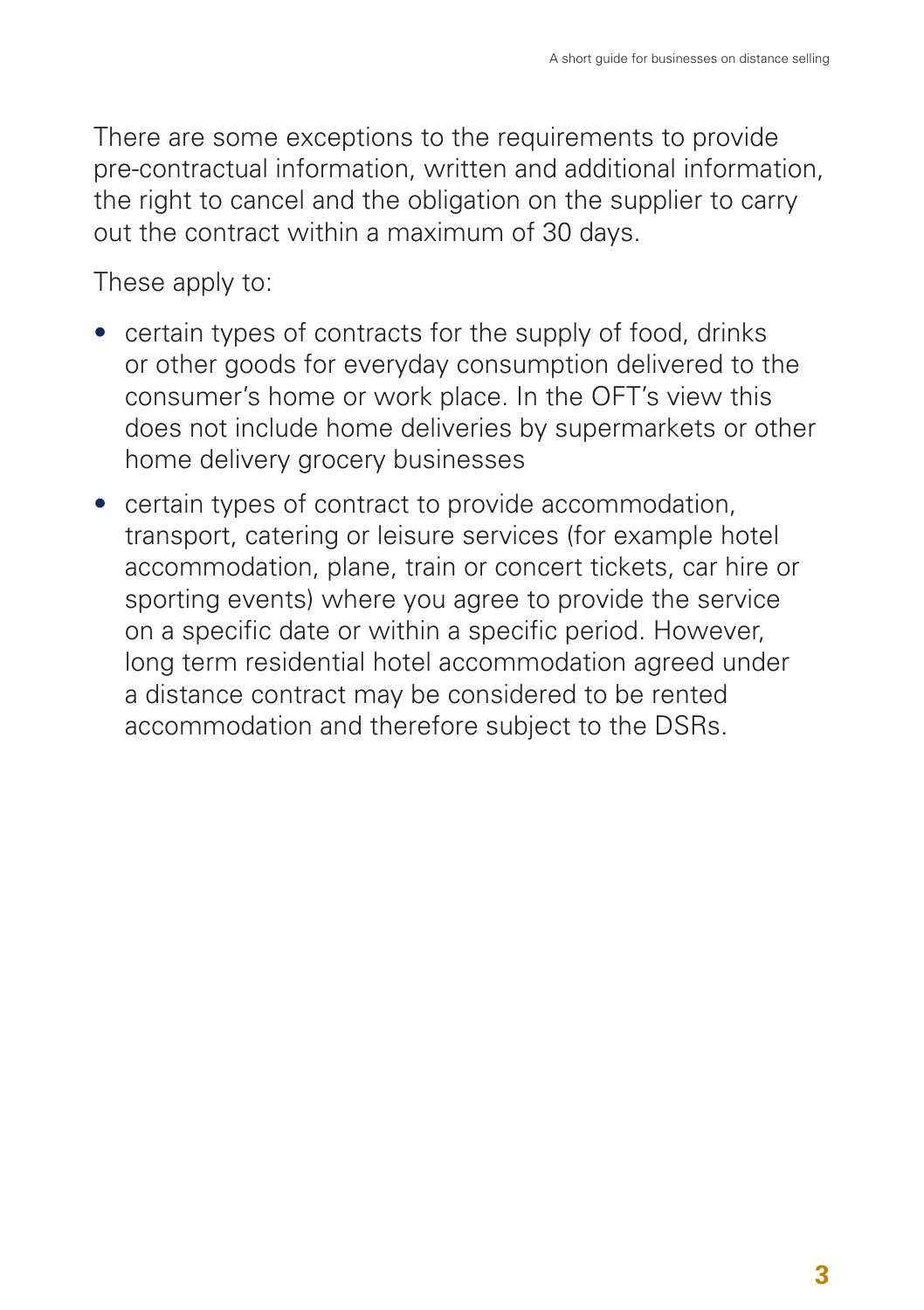There are some exceptions to the requirements to provide pre-contractual information, written and additional information, the right to cancel and the obligation on the supplier to carry out the contract within a maximum of 30 days.

These apply to:

- certain types of contracts for the supply of food, drinks or other goods for everyday consumption delivered to the consumer's home or work place. In the OFT's view this does not include home deliveries by supermarkets or other home delivery grocery businesses
- certain types of contract to provide accommodation, transport, catering or leisure services (for example hotel accommodation, plane, train or concert tickets, car hire or sporting events) where you agree to provide the service on a specific date or within a specific period. However, long term residential hotel accommodation agreed under a distance contract may be considered to be rented accommodation and therefore subject to the DSRs.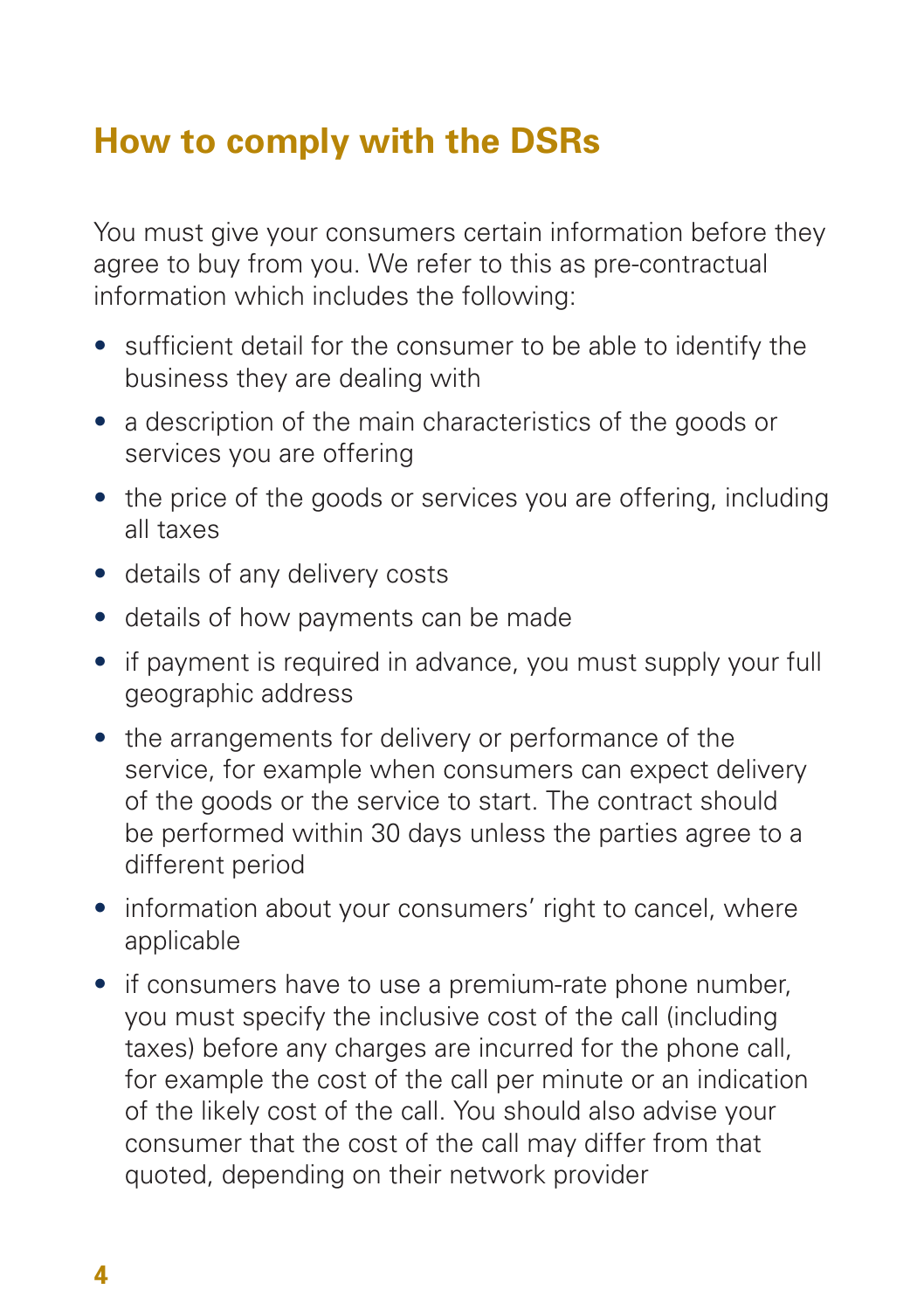## **How to comply with the DSRs**

You must give your consumers certain information before they agree to buy from you. We refer to this as pre-contractual information which includes the following:

- sufficient detail for the consumer to be able to identify the business they are dealing with
- a description of the main characteristics of the goods or services you are offering
- the price of the goods or services you are offering, including all taxes
- details of any delivery costs
- details of how payments can be made
- if payment is required in advance, you must supply your full geographic address
- the arrangements for delivery or performance of the service, for example when consumers can expect delivery of the goods or the service to start. The contract should be performed within 30 days unless the parties agree to a different period
- information about your consumers' right to cancel, where applicable
- if consumers have to use a premium-rate phone number. you must specify the inclusive cost of the call (including taxes) before any charges are incurred for the phone call, for example the cost of the call per minute or an indication of the likely cost of the call. You should also advise your consumer that the cost of the call may differ from that quoted, depending on their network provider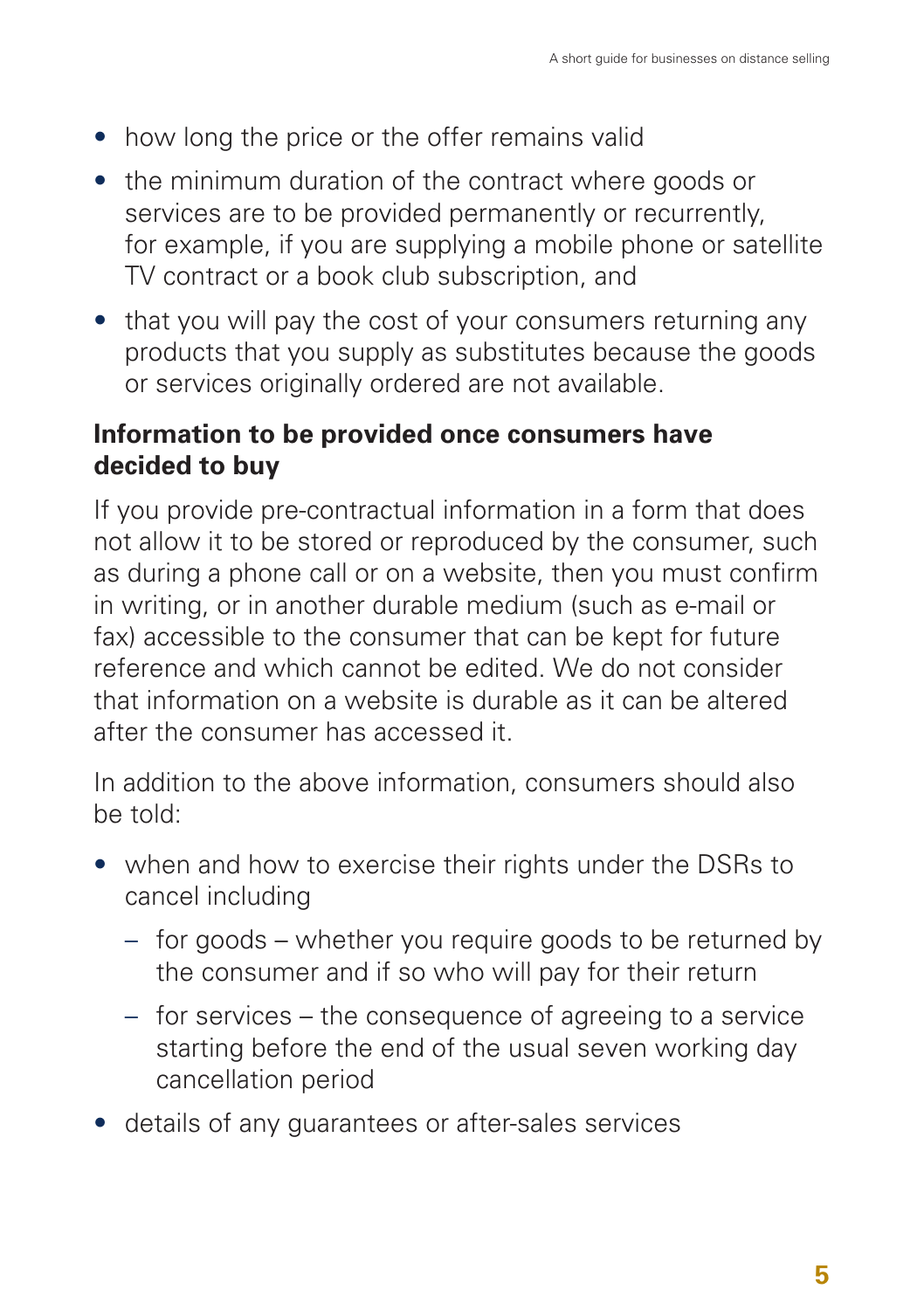- how long the price or the offer remains valid
- the minimum duration of the contract where goods or services are to be provided permanently or recurrently, for example, if you are supplying a mobile phone or satellite TV contract or a book club subscription, and
- that you will pay the cost of your consumers returning any products that you supply as substitutes because the goods or services originally ordered are not available.

### **Information to be provided once consumers have decided to buy**

If you provide pre-contractual information in a form that does not allow it to be stored or reproduced by the consumer, such as during a phone call or on a website, then you must confirm in writing, or in another durable medium (such as e-mail or fax) accessible to the consumer that can be kept for future reference and which cannot be edited. We do not consider that information on a website is durable as it can be altered after the consumer has accessed it.

In addition to the above information, consumers should also be told:

- when and how to exercise their rights under the DSRs to cancel including
	- for goods whether you require goods to be returned by the consumer and if so who will pay for their return
	- for services the consequence of agreeing to a service starting before the end of the usual seven working day cancellation period
- details of any guarantees or after-sales services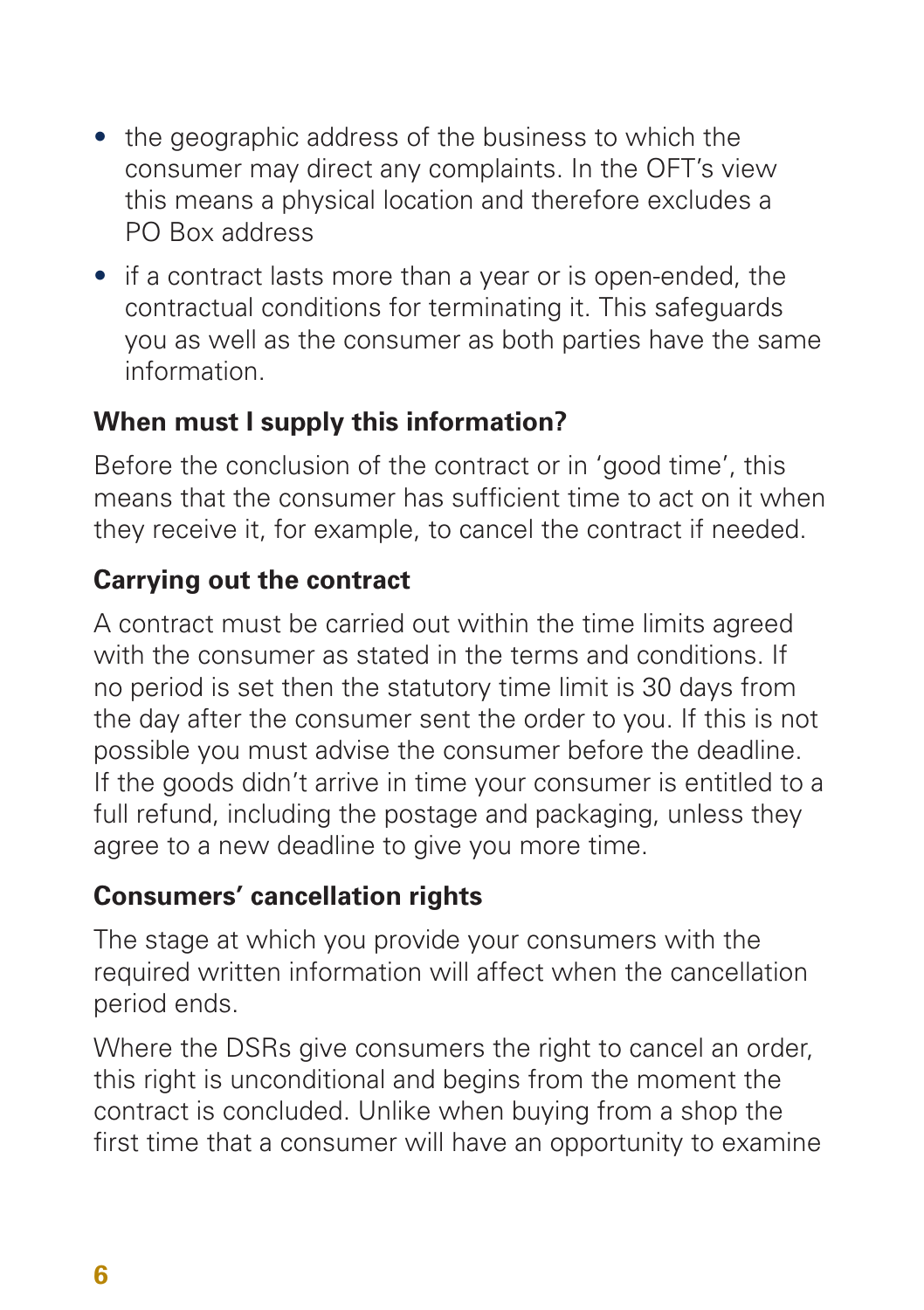- the geographic address of the business to which the consumer may direct any complaints. In the OFT's view this means a physical location and therefore excludes a PO Box address
- if a contract lasts more than a year or is open-ended, the contractual conditions for terminating it. This safeguards you as well as the consumer as both parties have the same information.

### **When must I supply this information?**

Before the conclusion of the contract or in 'good time', this means that the consumer has sufficient time to act on it when they receive it, for example, to cancel the contract if needed.

## **Carrying out the contract**

A contract must be carried out within the time limits agreed with the consumer as stated in the terms and conditions. If no period is set then the statutory time limit is 30 days from the day after the consumer sent the order to you. If this is not possible you must advise the consumer before the deadline. If the goods didn't arrive in time your consumer is entitled to a full refund, including the postage and packaging, unless they agree to a new deadline to give you more time.

### **Consumers' cancellation rights**

The stage at which you provide your consumers with the required written information will affect when the cancellation period ends.

Where the DSRs give consumers the right to cancel an order, this right is unconditional and begins from the moment the contract is concluded. Unlike when buying from a shop the first time that a consumer will have an opportunity to examine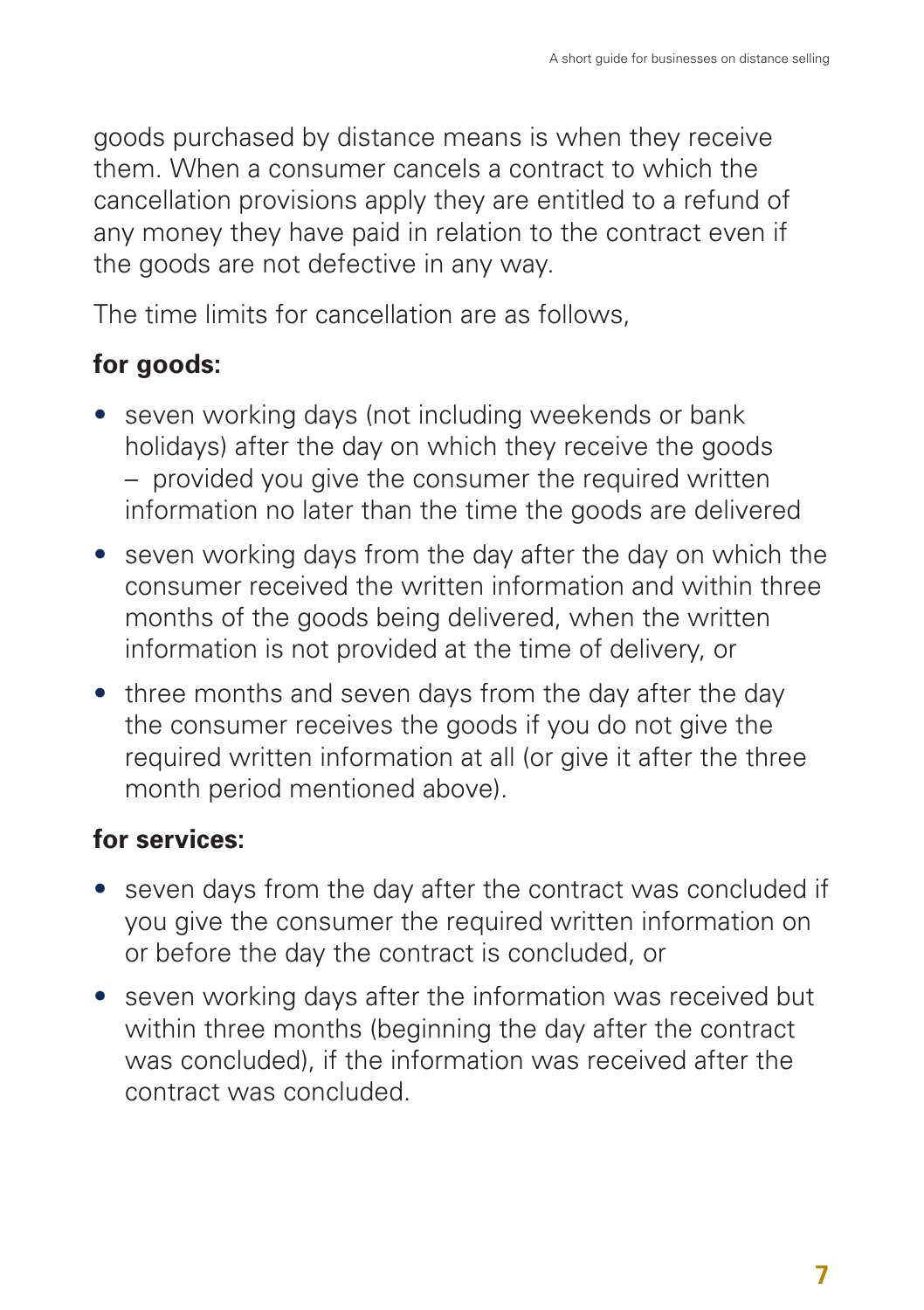goods purchased by distance means is when they receive them. When a consumer cancels a contract to which the cancellation provisions apply they are entitled to a refund of any money they have paid in relation to the contract even if the goods are not defective in any way.

The time limits for cancellation are as follows,

## **for goods:**

- seven working days (not including weekends or bank holidays) after the day on which they receive the goods – provided you give the consumer the required written information no later than the time the goods are delivered
- seven working days from the day after the day on which the consumer received the written information and within three months of the goods being delivered, when the written information is not provided at the time of delivery, or
- three months and seven days from the day after the day the consumer receives the goods if you do not give the required written information at all (or give it after the three month period mentioned above).

## **for services:**

- seven days from the day after the contract was concluded if you give the consumer the required written information on or before the day the contract is concluded, or
- seven working days after the information was received but within three months (beginning the day after the contract was concluded), if the information was received after the contract was concluded.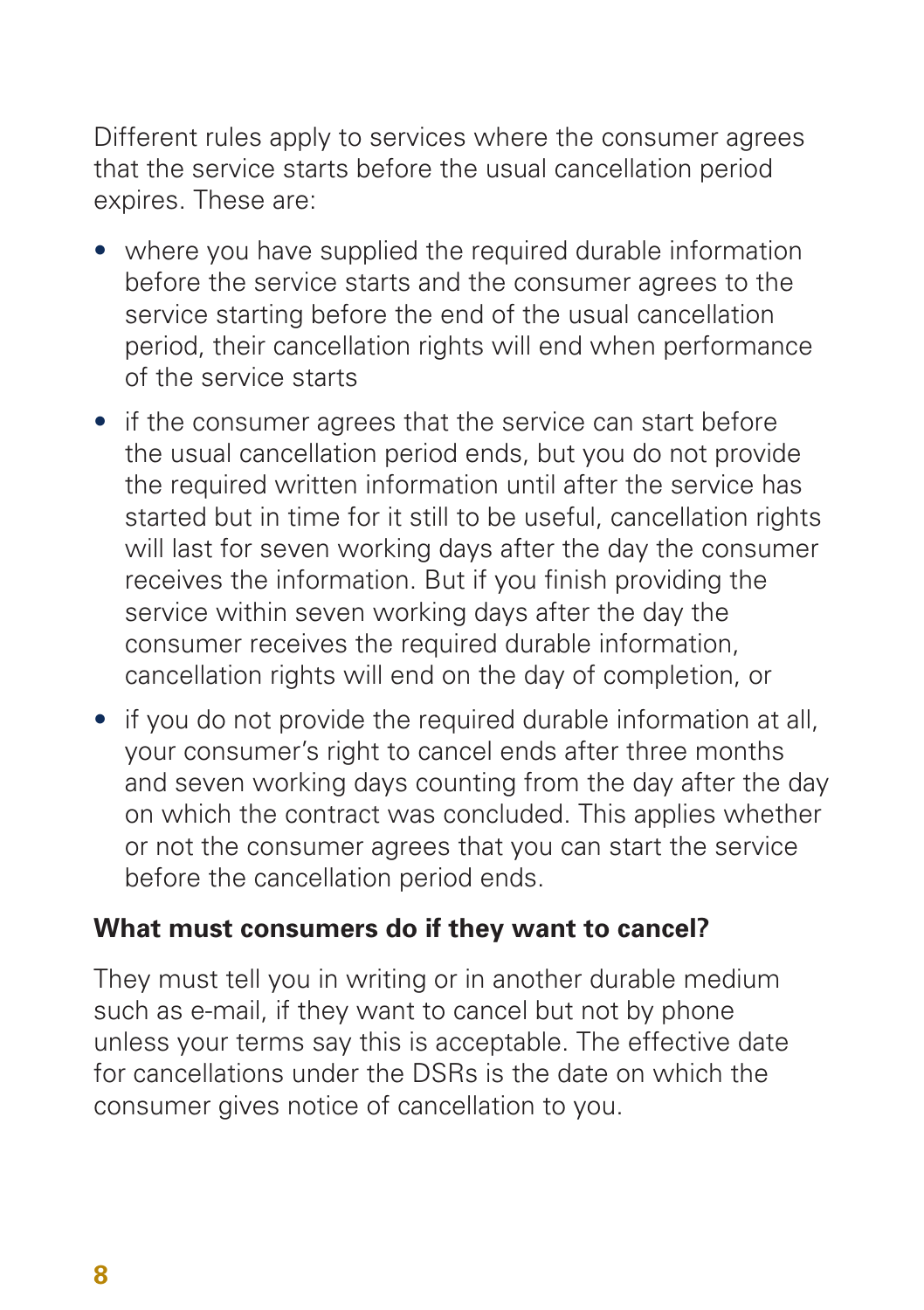Different rules apply to services where the consumer agrees that the service starts before the usual cancellation period expires. These are:

- where you have supplied the required durable information before the service starts and the consumer agrees to the service starting before the end of the usual cancellation period, their cancellation rights will end when performance of the service starts
- if the consumer agrees that the service can start before the usual cancellation period ends, but you do not provide the required written information until after the service has started but in time for it still to be useful, cancellation rights will last for seven working days after the day the consumer receives the information. But if you finish providing the service within seven working days after the day the consumer receives the required durable information, cancellation rights will end on the day of completion, or
- if you do not provide the required durable information at all, your consumer's right to cancel ends after three months and seven working days counting from the day after the day on which the contract was concluded. This applies whether or not the consumer agrees that you can start the service before the cancellation period ends.

#### **What must consumers do if they want to cancel?**

They must tell you in writing or in another durable medium such as e-mail, if they want to cancel but not by phone unless your terms say this is acceptable. The effective date for cancellations under the DSRs is the date on which the consumer gives notice of cancellation to you.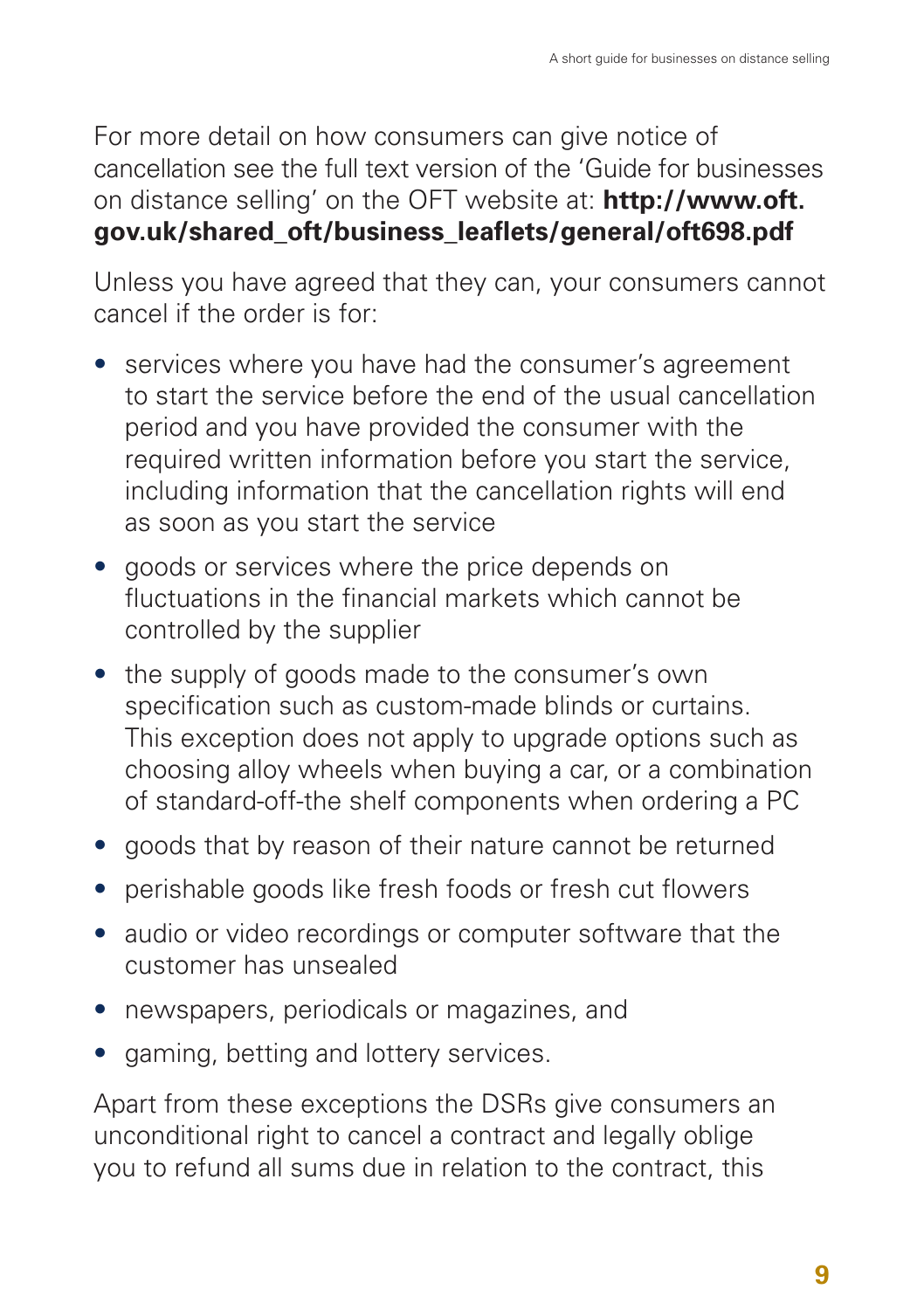For more detail on how consumers can give notice of cancellation see the full text version of the 'Guide for businesses on distance selling' on the OFT website at: **http://www.oft. gov.uk/shared\_oft/business\_leaflets/general/oft698.pdf**

Unless you have agreed that they can, your consumers cannot cancel if the order is for:

- services where you have had the consumer's agreement to start the service before the end of the usual cancellation period and you have provided the consumer with the required written information before you start the service, including information that the cancellation rights will end as soon as you start the service
- goods or services where the price depends on fluctuations in the financial markets which cannot be controlled by the supplier
- the supply of goods made to the consumer's own specification such as custom-made blinds or curtains. This exception does not apply to upgrade options such as choosing alloy wheels when buying a car, or a combination of standard-off-the shelf components when ordering a PC
- goods that by reason of their nature cannot be returned
- perishable goods like fresh foods or fresh cut flowers
- audio or video recordings or computer software that the customer has unsealed
- newspapers, periodicals or magazines, and
- gaming, betting and lottery services.

Apart from these exceptions the DSRs give consumers an unconditional right to cancel a contract and legally oblige you to refund all sums due in relation to the contract, this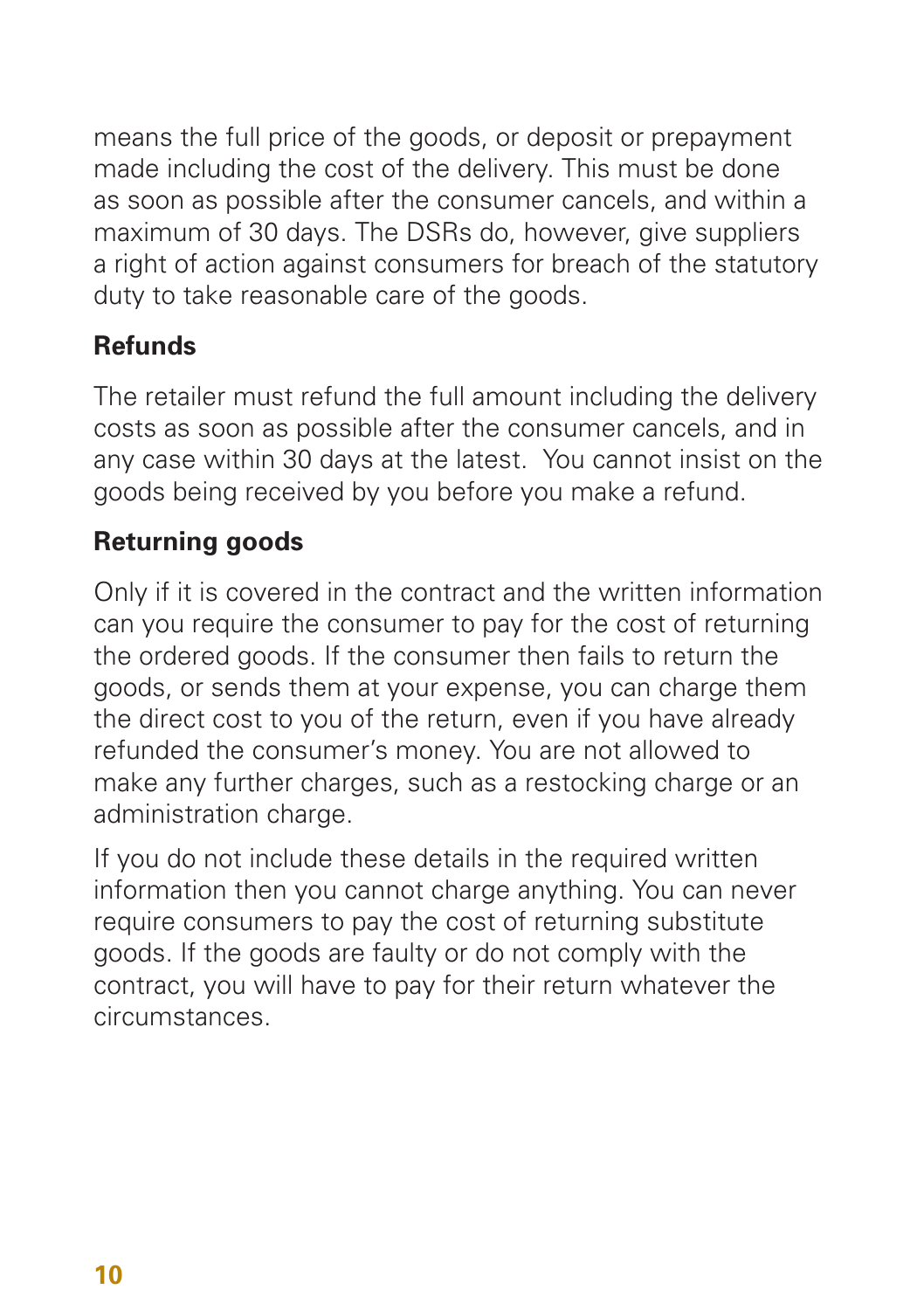means the full price of the goods, or deposit or prepayment made including the cost of the delivery. This must be done as soon as possible after the consumer cancels, and within a maximum of 30 days. The DSRs do, however, give suppliers a right of action against consumers for breach of the statutory duty to take reasonable care of the goods.

## **Refunds**

The retailer must refund the full amount including the delivery costs as soon as possible after the consumer cancels, and in any case within 30 days at the latest. You cannot insist on the goods being received by you before you make a refund.

## **Returning goods**

Only if it is covered in the contract and the written information can you require the consumer to pay for the cost of returning the ordered goods. If the consumer then fails to return the goods, or sends them at your expense, you can charge them the direct cost to you of the return, even if you have already refunded the consumer's money. You are not allowed to make any further charges, such as a restocking charge or an administration charge.

If you do not include these details in the required written information then you cannot charge anything. You can never require consumers to pay the cost of returning substitute goods. If the goods are faulty or do not comply with the contract, you will have to pay for their return whatever the circumstances.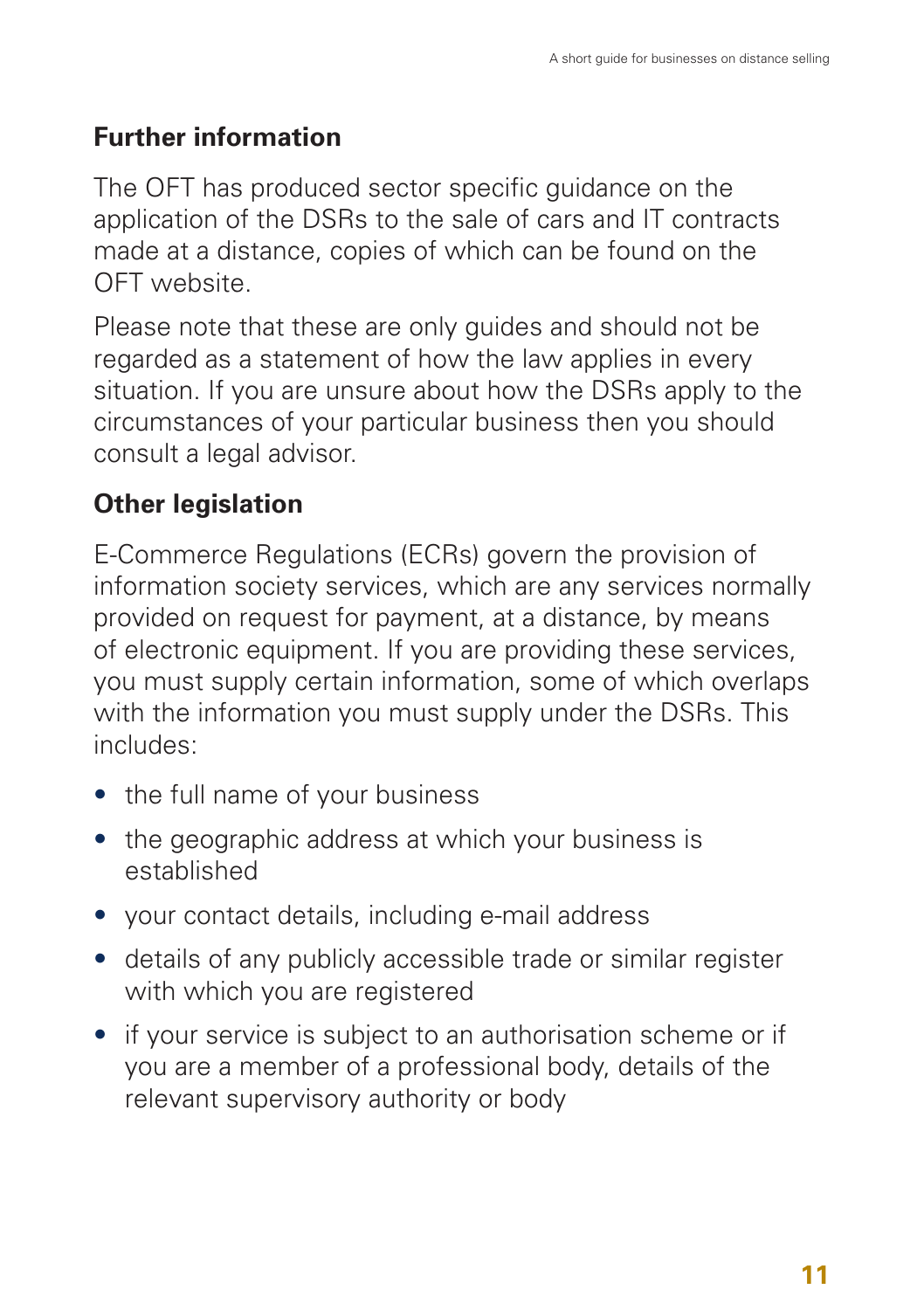## **Further information**

The OFT has produced sector specific guidance on the application of the DSRs to the sale of cars and IT contracts made at a distance, copies of which can be found on the OFT website.

Please note that these are only guides and should not be regarded as a statement of how the law applies in every situation. If you are unsure about how the DSRs apply to the circumstances of your particular business then you should consult a legal advisor.

## **Other legislation**

E-Commerce Regulations (ECRs) govern the provision of information society services, which are any services normally provided on request for payment, at a distance, by means of electronic equipment. If you are providing these services, you must supply certain information, some of which overlaps with the information you must supply under the DSRs. This includes:

- the full name of your business
- the geographic address at which your business is established
- your contact details, including e-mail address
- details of any publicly accessible trade or similar register with which you are registered
- if your service is subject to an authorisation scheme or if you are a member of a professional body, details of the relevant supervisory authority or body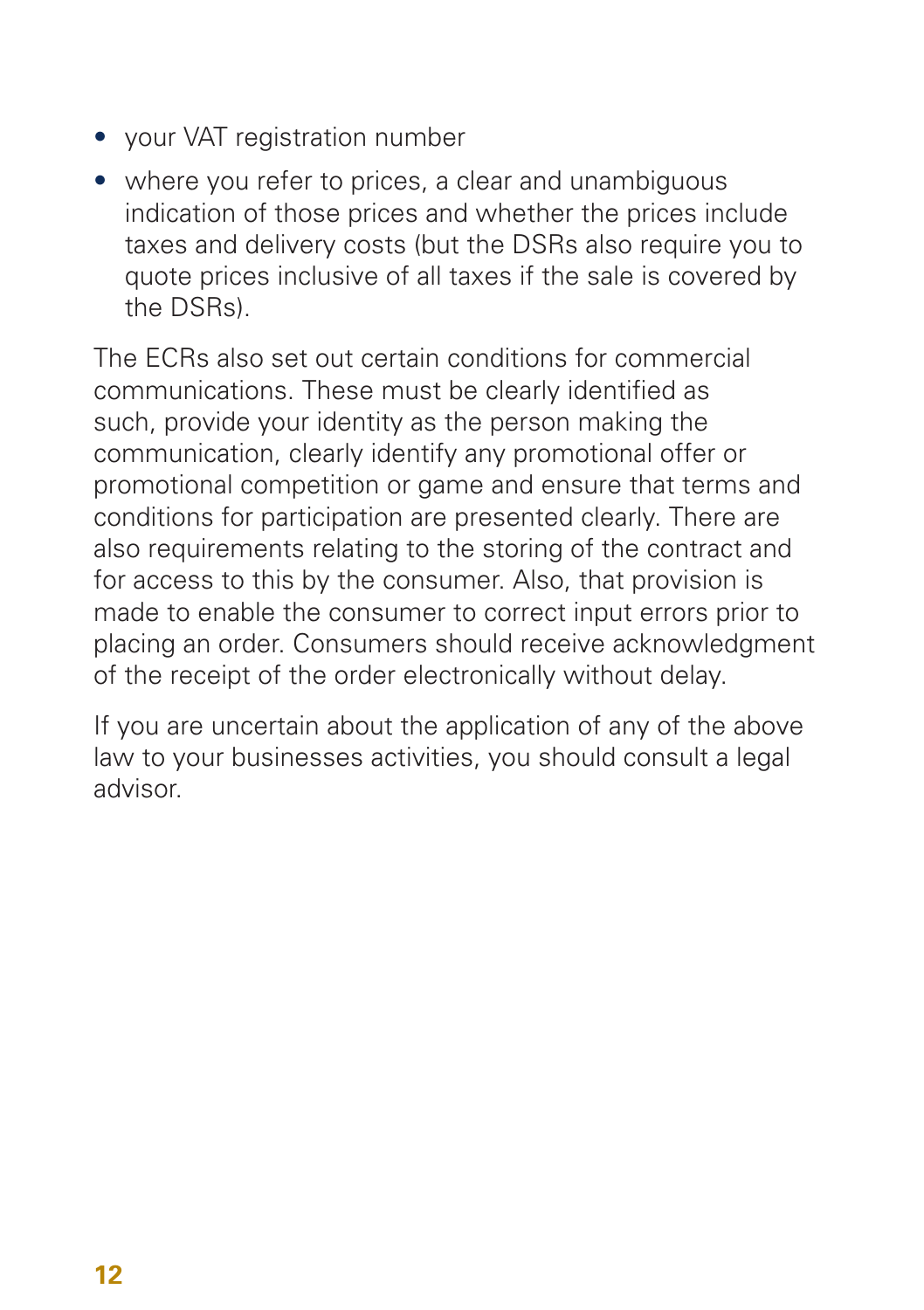- your VAT registration number
- where you refer to prices, a clear and unambiguous indication of those prices and whether the prices include taxes and delivery costs (but the DSRs also require you to quote prices inclusive of all taxes if the sale is covered by the DSRs).

The ECRs also set out certain conditions for commercial communications. These must be clearly identified as such, provide your identity as the person making the communication, clearly identify any promotional offer or promotional competition or game and ensure that terms and conditions for participation are presented clearly. There are also requirements relating to the storing of the contract and for access to this by the consumer. Also, that provision is made to enable the consumer to correct input errors prior to placing an order. Consumers should receive acknowledgment of the receipt of the order electronically without delay.

If you are uncertain about the application of any of the above law to your businesses activities, you should consult a legal advisor.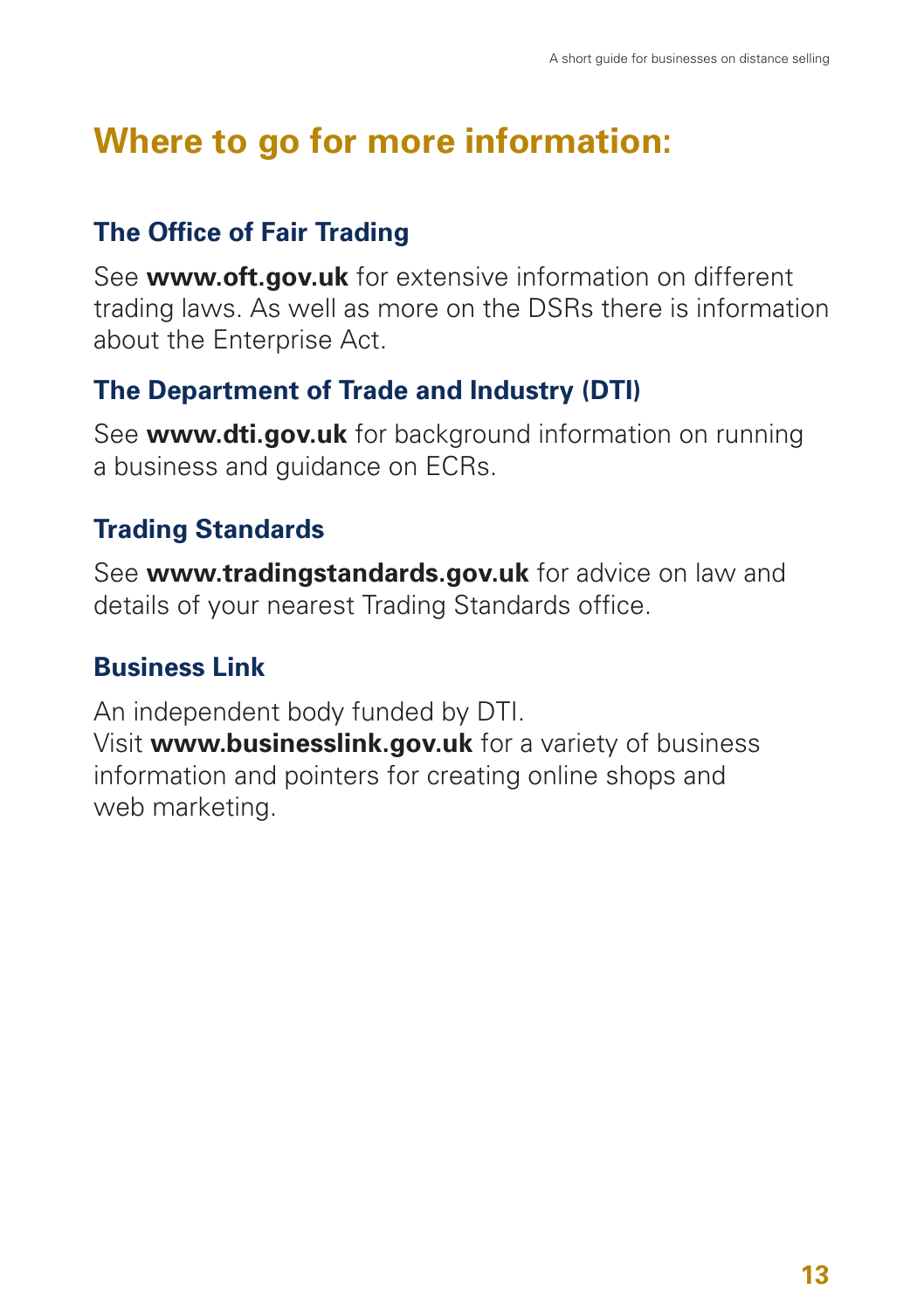## **Where to go for more information:**

## **The Office of Fair Trading**

See **www.oft.gov.uk** for extensive information on different trading laws. As well as more on the DSRs there is information about the Enterprise Act.

## **The Department of Trade and Industry (DTI)**

See **www.dti.gov.uk** for background information on running a business and guidance on ECRs.

## **Trading Standards**

See **www.tradingstandards.gov.uk** for advice on law and details of your nearest Trading Standards office.

## **Business Link**

An independent body funded by DTI. Visit **www.businesslink.gov.uk** for a variety of business information and pointers for creating online shops and web marketing.